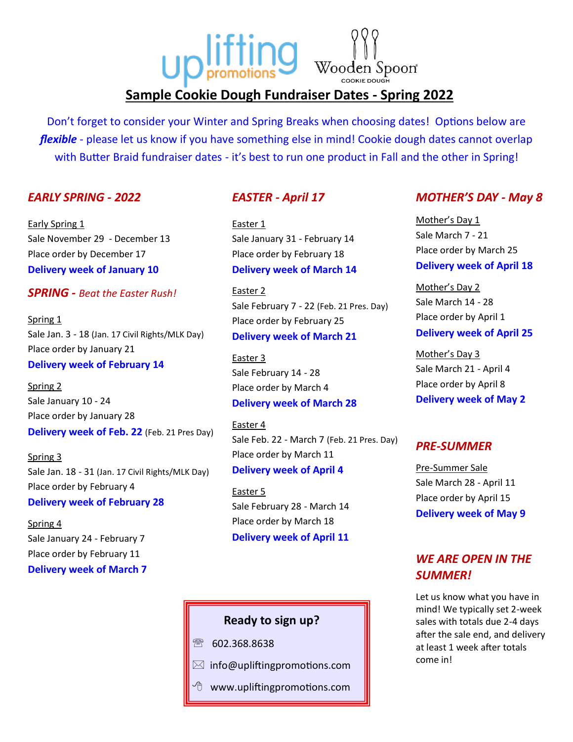# **Up lifting** Wooden Spoon **Sample Cookie Dough Fundraiser Dates - Spring 2022**

Don't forget to consider your Winter and Spring Breaks when choosing dates! Options below are *flexible* - please let us know if you have something else in mind! Cookie dough dates cannot overlap with Butter Braid fundraiser dates - it's best to run one product in Fall and the other in Spring!

### *EARLY SPRING - 2022*

Early Spring 1 Sale November 29 - December 13 Place order by December 17 **Delivery week of January 10**

### *SPRING - Beat the Easter Rush!*

Spring 1 Sale Jan. 3 - 18 (Jan. 17 Civil Rights/MLK Day) Place order by January 21 **Delivery week of February 14**

Spring 2 Sale January 10 - 24 Place order by January 28 **Delivery week of Feb. 22** (Feb. 21 Pres Day)

Spring 3 Sale Jan. 18 - 31 (Jan. 17 Civil Rights/MLK Day) Place order by February 4 **Delivery week of February 28**

Spring 4 Sale January 24 - February 7 Place order by February 11 **Delivery week of March 7**

### *EASTER - April 17*

Easter 1 Sale January 31 - February 14 Place order by February 18 **Delivery week of March 14**

Easter 2 Sale February 7 - 22 (Feb. 21 Pres. Day) Place order by February 25 **Delivery week of March 21**

Easter 3 Sale February 14 - 28 Place order by March 4 **Delivery week of March 28**

Easter 4 Sale Feb. 22 - March 7 (Feb. 21 Pres. Day) Place order by March 11 **Delivery week of April 4**

Easter 5 Sale February 28 - March 14 Place order by March 18 **Delivery week of April 11**

# **Ready to sign up?**

- ☎ 602.368.8638
- $\boxtimes$  info@upliftingpromotions.com
- www.upliftingpromotions.com

### *MOTHER'S DAY - May 8*

Mother's Day 1 Sale March 7 - 21 Place order by March 25 **Delivery week of April 18**

Mother's Day 2 Sale March 14 - 28 Place order by April 1 **Delivery week of April 25**

Mother's Day 3 Sale March 21 - April 4 Place order by April 8 **Delivery week of May 2**

## *PRE-SUMMER*

Pre-Summer Sale Sale March 28 - April 11 Place order by April 15 **Delivery week of May 9**

# *WE ARE OPEN IN THE SUMMER!*

Let us know what you have in mind! We typically set 2-week sales with totals due 2-4 days after the sale end, and delivery at least 1 week after totals come in!